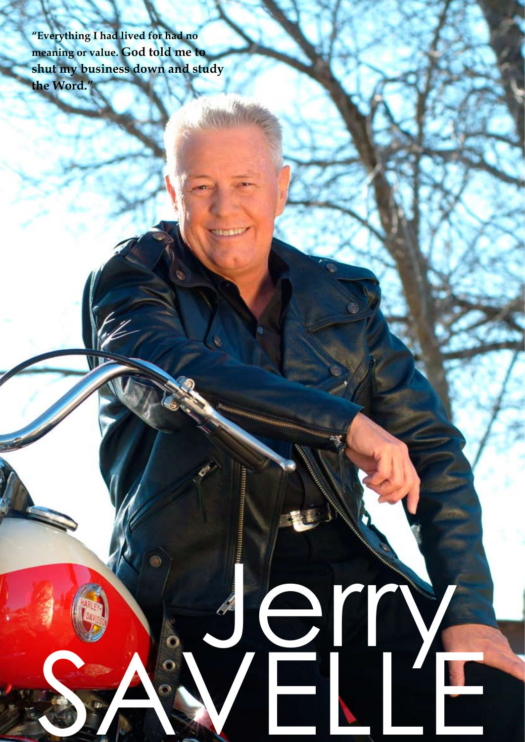**"Everything I had lived for had no meaning or value. God told me to shut my business down and study the Word."**

SAWELLE

Jerry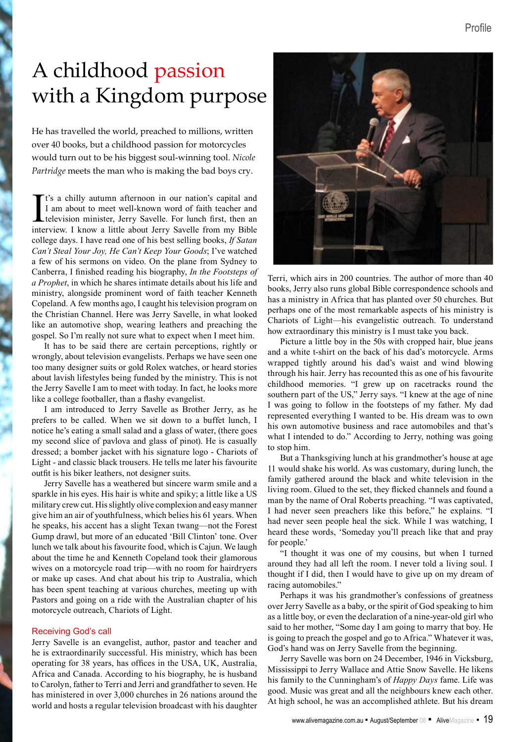# A childhood passion with a Kingdom purpose

He has travelled the world, preached to millions, written over 40 books, but a childhood passion for motorcycles would turn out to be his biggest soul-winning tool. *Nicole Partridge* meets the man who is making the bad boys cry.

I t's a chilly autumn afternoon in our nation's capital and I am about to meet well-known word of faith teacher and television minister, Jerry Savelle. For lunch first, then an interview. I know a little about Jerry Savelle from my Bible college days. I have read one of his best selling books, *If Satan Can't Steal Your Joy, He Can't Keep Your Goods*; I've watched a few of his sermons on video. On the plane from Sydney to Canberra, I finished reading his biography, *In the Footsteps of a Prophet*, in which he shares intimate details about his life and ministry, alongside prominent word of faith teacher Kenneth Copeland. A few months ago, I caught his television program on the Christian Channel. Here was Jerry Savelle, in what looked like an automotive shop, wearing leathers and preaching the gospel. So I'm really not sure what to expect when I meet him.

It has to be said there are certain perceptions, rightly or wrongly, about television evangelists. Perhaps we have seen one too many designer suits or gold Rolex watches, or heard stories about lavish lifestyles being funded by the ministry. This is not the Jerry Savelle I am to meet with today. In fact, he looks more like a college footballer, than a flashy evangelist.

I am introduced to Jerry Savelle as Brother Jerry, as he prefers to be called. When we sit down to a buffet lunch, I notice he's eating a small salad and a glass of water, (there goes my second slice of pavlova and glass of pinot). He is casually dressed; a bomber jacket with his signature logo - Chariots of Light - and classic black trousers. He tells me later his favourite outfit is his biker leathers, not designer suits.

Jerry Savelle has a weathered but sincere warm smile and a sparkle in his eyes. His hair is white and spiky; a little like a US military crew cut. His slightly olive complexion and easy manner give him an air of youthfulness, which belies his 61 years. When he speaks, his accent has a slight Texan twang—not the Forest Gump drawl, but more of an educated 'Bill Clinton' tone. Over lunch we talk about his favourite food, which is Cajun. We laugh about the time he and Kenneth Copeland took their glamorous wives on a motorcycle road trip—with no room for hairdryers or make up cases. And chat about his trip to Australia, which has been spent teaching at various churches, meeting up with Pastors and going on a ride with the Australian chapter of his motorcycle outreach, Chariots of Light.

### Receiving God's call

Jerry Savelle is an evangelist, author, pastor and teacher and he is extraordinarily successful. His ministry, which has been operating for 38 years, has offices in the USA, UK, Australia, Africa and Canada. According to his biography, he is husband to Carolyn, father to Terri and Jerri and grandfather to seven. He has ministered in over 3,000 churches in 26 nations around the world and hosts a regular television broadcast with his daughter



Terri, which airs in 200 countries. The author of more than 40 books, Jerry also runs global Bible correspondence schools and has a ministry in Africa that has planted over 50 churches. But perhaps one of the most remarkable aspects of his ministry is Chariots of Light—his evangelistic outreach. To understand how extraordinary this ministry is I must take you back.

Picture a little boy in the 50s with cropped hair, blue jeans and a white t-shirt on the back of his dad's motorcycle. Arms wrapped tightly around his dad's waist and wind blowing through his hair. Jerry has recounted this as one of his favourite childhood memories. "I grew up on racetracks round the southern part of the US," Jerry says. "I knew at the age of nine I was going to follow in the footsteps of my father. My dad represented everything I wanted to be. His dream was to own his own automotive business and race automobiles and that's what I intended to do." According to Jerry, nothing was going to stop him.

But a Thanksgiving lunch at his grandmother's house at age 11 would shake his world. As was customary, during lunch, the family gathered around the black and white television in the living room. Glued to the set, they flicked channels and found a man by the name of Oral Roberts preaching. "I was captivated, I had never seen preachers like this before," he explains. "I had never seen people heal the sick. While I was watching, I heard these words, 'Someday you'll preach like that and pray for people.'

"I thought it was one of my cousins, but when I turned around they had all left the room. I never told a living soul. I thought if I did, then I would have to give up on my dream of racing automobiles."

Perhaps it was his grandmother's confessions of greatness over Jerry Savelle as a baby, or the spirit of God speaking to him as a little boy, or even the declaration of a nine-year-old girl who said to her mother, "Some day I am going to marry that boy. He is going to preach the gospel and go to Africa." Whatever it was, God's hand was on Jerry Savelle from the beginning.

Jerry Savelle was born on 24 December, 1946 in Vicksburg, Mississippi to Jerry Wallace and Attie Snow Savelle. He likens his family to the Cunningham's of *Happy Days* fame. Life was good. Music was great and all the neighbours knew each other. At high school, he was an accomplished athlete. But his dream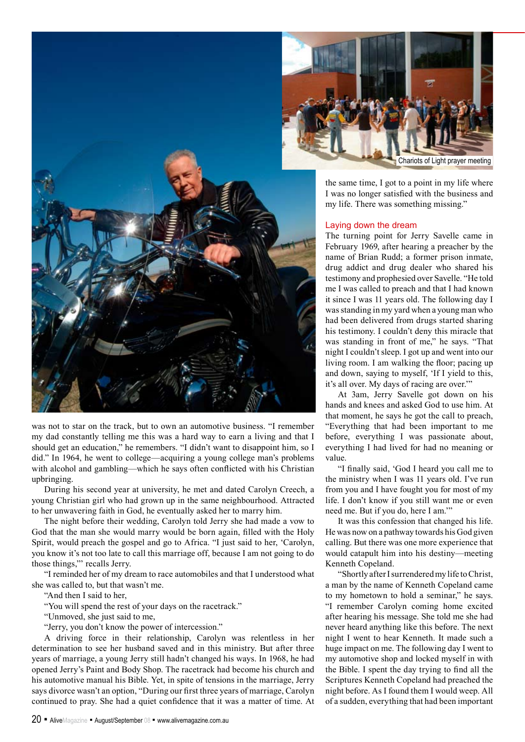

was not to star on the track, but to own an automotive business. "I remember my dad constantly telling me this was a hard way to earn a living and that I should get an education," he remembers. "I didn't want to disappoint him, so I did." In 1964, he went to college—acquiring a young college man's problems with alcohol and gambling—which he says often conflicted with his Christian upbringing.

During his second year at university, he met and dated Carolyn Creech, a young Christian girl who had grown up in the same neighbourhood. Attracted to her unwavering faith in God, he eventually asked her to marry him.

The night before their wedding, Carolyn told Jerry she had made a vow to God that the man she would marry would be born again, filled with the Holy Spirit, would preach the gospel and go to Africa. "I just said to her, 'Carolyn, you know it's not too late to call this marriage off, because I am not going to do those things,"' recalls Jerry.

"I reminded her of my dream to race automobiles and that I understood what she was called to, but that wasn't me.

"And then I said to her,

"You will spend the rest of your days on the racetrack."

"Unmoved, she just said to me,

"Jerry, you don't know the power of intercession."

A driving force in their relationship, Carolyn was relentless in her determination to see her husband saved and in this ministry. But after three years of marriage, a young Jerry still hadn't changed his ways. In 1968, he had opened Jerry's Paint and Body Shop. The racetrack had become his church and his automotive manual his Bible. Yet, in spite of tensions in the marriage, Jerry says divorce wasn't an option, "During our first three years of marriage, Carolyn continued to pray. She had a quiet confidence that it was a matter of time. At



the same time, I got to a point in my life where I was no longer satisfied with the business and my life. There was something missing."

### Laying down the dream

The turning point for Jerry Savelle came in February 1969, after hearing a preacher by the name of Brian Rudd; a former prison inmate, drug addict and drug dealer who shared his testimony and prophesied over Savelle. "He told me I was called to preach and that I had known it since I was 11 years old. The following day I was standing in my yard when a young man who had been delivered from drugs started sharing his testimony. I couldn't deny this miracle that was standing in front of me," he says. "That night I couldn't sleep. I got up and went into our living room. I am walking the floor; pacing up and down, saying to myself, 'If I yield to this, it's all over. My days of racing are over.'"

At 3am, Jerry Savelle got down on his hands and knees and asked God to use him. At that moment, he says he got the call to preach, "Everything that had been important to me before, everything I was passionate about, everything I had lived for had no meaning or value.

"I finally said, 'God I heard you call me to the ministry when I was 11 years old. I've run from you and I have fought you for most of my life. I don't know if you still want me or even need me. But if you do, here I am.'"

It was this confession that changed his life. He was now on a pathway towards his God given calling. But there was one more experience that would catapult him into his destiny—meeting Kenneth Copeland.

"Shortly after I surrendered my life to Christ, a man by the name of Kenneth Copeland came to my hometown to hold a seminar," he says. "I remember Carolyn coming home excited after hearing his message. She told me she had never heard anything like this before. The next night I went to hear Kenneth. It made such a huge impact on me. The following day I went to my automotive shop and locked myself in with the Bible. I spent the day trying to find all the Scriptures Kenneth Copeland had preached the night before. As I found them I would weep. All of a sudden, everything that had been important